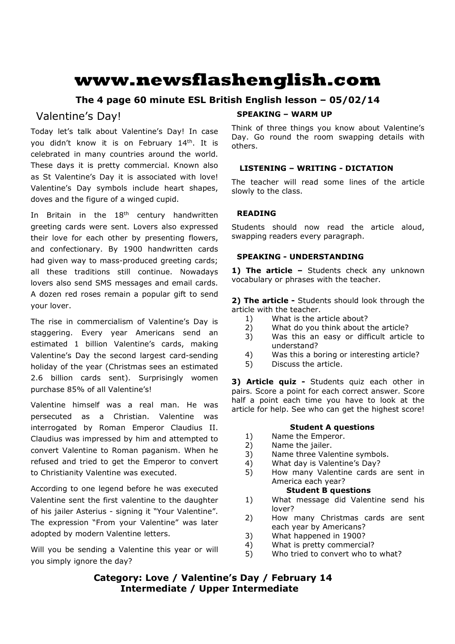# **www.newsflashenglish.com**

# **The 4 page 60 minute ESL British English lesson – 05/02/14**

# Valentine's Day!

Today let's talk about Valentine's Day! In case you didn't know it is on February 14<sup>th</sup>. It is celebrated in many countries around the world. These days it is pretty commercial. Known also as St Valentine's Day it is associated with love! Valentine's Day symbols include heart shapes, doves and the figure of a winged cupid.

In Britain in the 18<sup>th</sup> century handwritten greeting cards were sent. Lovers also expressed their love for each other by presenting flowers, and confectionary. By 1900 handwritten cards had given way to mass-produced greeting cards; all these traditions still continue. Nowadays lovers also send SMS messages and email cards. A dozen red roses remain a popular gift to send your lover.

The rise in commercialism of Valentine's Day is staggering. Every year Americans send an estimated 1 billion Valentine's cards, making Valentine's Day the second largest card-sending holiday of the year (Christmas sees an estimated 2.6 billion cards sent). Surprisingly women purchase 85% of all Valentine's!

Valentine himself was a real man. He was persecuted as a Christian. Valentine was interrogated by Roman Emperor Claudius II. Claudius was impressed by him and attempted to convert Valentine to Roman paganism. When he refused and tried to get the Emperor to convert to Christianity Valentine was executed.

According to one legend before he was executed Valentine sent the first valentine to the daughter of his jailer Asterius - signing it "Your Valentine". The expression "From your Valentine" was later adopted by modern Valentine letters.

Will you be sending a Valentine this year or will you simply ignore the day?

# **SPEAKING – WARM UP**

Think of three things you know about Valentine's Day. Go round the room swapping details with others.

# **LISTENING – WRITING - DICTATION**

The teacher will read some lines of the article slowly to the class.

# **READING**

Students should now read the article aloud, swapping readers every paragraph.

# **SPEAKING - UNDERSTANDING**

1) The article - Students check any unknown vocabulary or phrases with the teacher.

**2) The article -** Students should look through the article with the teacher.

- 1) What is the article about?
- 2) What do you think about the article?
- 3) Was this an easy or difficult article to understand?
- 4) Was this a boring or interesting article?
- 5) Discuss the article.

**3) Article quiz -** Students quiz each other in pairs. Score a point for each correct answer. Score half a point each time you have to look at the article for help. See who can get the highest score!

# **Student A questions**

- 1) Name the Emperor.
- 2) Name the jailer.
- 3) Name three Valentine symbols.
- 4) What day is Valentine's Day?
- 5) How many Valentine cards are sent in America each year?

# **Student B questions**

- 1) What message did Valentine send his lover?
- 2) How many Christmas cards are sent each year by Americans?
- 3) What happened in 1900?
- 4) What is pretty commercial?
- 5) Who tried to convert who to what?

**Category: Love / Valentine's Day / February 14 Intermediate / Upper Intermediate**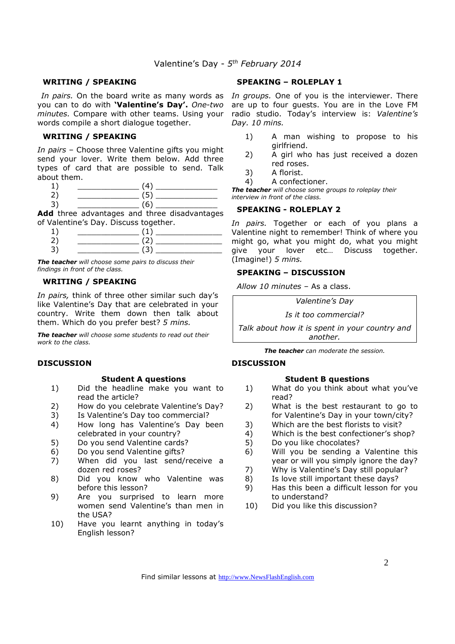### **WRITING / SPEAKING**

you can to do with **'Valentine's Day'.** *One-two minutes.* Compare with other teams. Using your words compile a short dialogue together.

#### **WRITING / SPEAKING**

*In pairs* – Choose three Valentine gifts you might send your lover. Write them below. Add three types of card that are possible to send. Talk about them.

| - |  |
|---|--|

 $3) \qquad \qquad (6)$ 

**Add** three advantages and three disadvantages of Valentine's Day. Discuss together.

| -<br>سه |  |
|---------|--|

*The teacher will choose some pairs to discuss their findings in front of the class.* 

## **WRITING / SPEAKING**

*In pairs,* think of three other similar such day's like Valentine's Day that are celebrated in your country. Write them down then talk about them. Which do you prefer best? *5 mins.*

*The teacher will choose some students to read out their work to the class.* 

#### **DISCUSSION**

#### **Student A questions**

- 1) Did the headline make you want to read the article?
- 2) How do you celebrate Valentine's Day?
- 3) Is Valentine's Day too commercial?
- 4) How long has Valentine's Day been celebrated in your country?
- 5) Do you send Valentine cards?
- 6) Do you send Valentine gifts?
- 7) When did you last send/receive a dozen red roses?
- 8) Did you know who Valentine was before this lesson?
- 9) Are you surprised to learn more women send Valentine's than men in the USA?
- 10) Have you learnt anything in today's English lesson?

### **SPEAKING – ROLEPLAY 1**

In pairs. On the board write as many words as In groups. One of you is the interviewer. There are up to four guests. You are in the Love FM radio studio. Today's interview is: *Valentine's Day. 10 mins.* 

- 1) A man wishing to propose to his girlfriend.
- 2) A girl who has just received a dozen red roses.
- 3) A florist.
- 4) A confectioner.

*The teacher will choose some groups to roleplay their interview in front of the class.* 

#### **SPEAKING - ROLEPLAY 2**

*In pairs.* Together or each of you plans a Valentine night to remember! Think of where you might go, what you might do, what you might give your lover etc… Discuss together. (Imagine!) *5 mins.* 

#### **SPEAKING – DISCUSSION**

*Allow 10 minutes* – As a class.

*Valentine's Day* 

*Is it too commercial?* 

*Talk about how it is spent in your country and another.*

*The teacher can moderate the session.*

#### **DISCUSSION**

#### **Student B questions**

- 1) What do you think about what you've read?
- 2) What is the best restaurant to go to for Valentine's Day in your town/city?
- 3) Which are the best florists to visit?
- 4) Which is the best confectioner's shop?
- 5) Do you like chocolates?
- 6) Will you be sending a Valentine this year or will you simply ignore the day?
- 7) Why is Valentine's Day still popular?
- 8) Is love still important these days?
- 9) Has this been a difficult lesson for you to understand?
- 10) Did you like this discussion?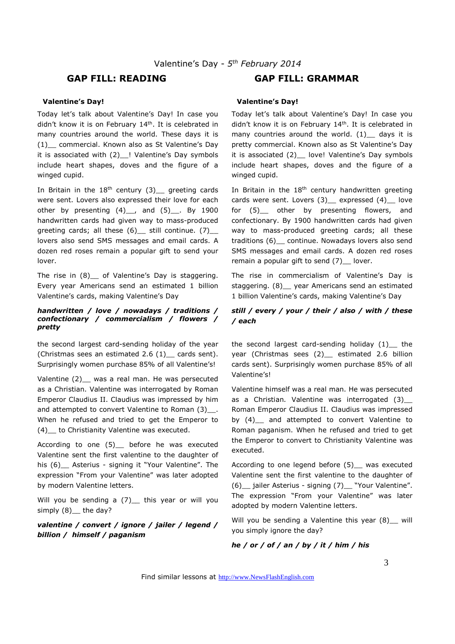# **GAP FILL: READING GAP FILL: GRAMMAR**

#### **Valentine's Day!**

Today let's talk about Valentine's Day! In case you didn't know it is on February 14<sup>th</sup>. It is celebrated in many countries around the world. These days it is (1)\_\_ commercial. Known also as St Valentine's Day it is associated with (2)\_\_! Valentine's Day symbols include heart shapes, doves and the figure of a winged cupid.

In Britain in the  $18<sup>th</sup>$  century (3) greeting cards were sent. Lovers also expressed their love for each other by presenting  $(4)$ , and  $(5)$ , By 1900 handwritten cards had given way to mass-produced greeting cards; all these  $(6)$  still continue.  $(7)$ lovers also send SMS messages and email cards. A dozen red roses remain a popular gift to send your lover.

The rise in (8) \_ of Valentine's Day is staggering. Every year Americans send an estimated 1 billion Valentine's cards, making Valentine's Day

#### *handwritten / love / nowadays / traditions / confectionary / commercialism / flowers / pretty*

the second largest card-sending holiday of the year (Christmas sees an estimated 2.6 (1)\_\_ cards sent). Surprisingly women purchase 85% of all Valentine's!

Valentine (2) was a real man. He was persecuted as a Christian. Valentine was interrogated by Roman Emperor Claudius II. Claudius was impressed by him and attempted to convert Valentine to Roman (3) . When he refused and tried to get the Emperor to (4)\_\_ to Christianity Valentine was executed.

According to one (5)\_\_ before he was executed Valentine sent the first valentine to the daughter of his (6) Asterius - signing it "Your Valentine". The expression "From your Valentine" was later adopted by modern Valentine letters.

Will you be sending a  $(7)$  this year or will you simply (8) the day?

*valentine / convert / ignore / jailer / legend / billion / himself / paganism*

#### **Valentine's Day!**

Today let's talk about Valentine's Day! In case you didn't know it is on February 14<sup>th</sup>. It is celebrated in many countries around the world.  $(1)$  days it is pretty commercial. Known also as St Valentine's Day it is associated (2) love! Valentine's Day symbols include heart shapes, doves and the figure of a winged cupid.

In Britain in the  $18<sup>th</sup>$  century handwritten greeting cards were sent. Lovers (3) expressed (4) love for (5)\_\_ other by presenting flowers, and confectionary. By 1900 handwritten cards had given way to mass-produced greeting cards; all these traditions (6)\_\_ continue. Nowadays lovers also send SMS messages and email cards. A dozen red roses remain a popular gift to send  $(7)$  lover.

The rise in commercialism of Valentine's Day is staggering. (8)\_\_ year Americans send an estimated 1 billion Valentine's cards, making Valentine's Day

# *still / every / your / their / also / with / these / each*

the second largest card-sending holiday (1) the year (Christmas sees (2) estimated 2.6 billion cards sent). Surprisingly women purchase 85% of all Valentine's!

Valentine himself was a real man. He was persecuted as a Christian. Valentine was interrogated (3) Roman Emperor Claudius II. Claudius was impressed by (4)\_\_ and attempted to convert Valentine to Roman paganism. When he refused and tried to get the Emperor to convert to Christianity Valentine was executed.

According to one legend before (5) was executed Valentine sent the first valentine to the daughter of (6) \_ jailer Asterius - signing (7) \_ "Your Valentine". The expression "From your Valentine" was later adopted by modern Valentine letters.

Will you be sending a Valentine this year (8) \_ will you simply ignore the day?

#### *he / or / of / an / by / it / him / his*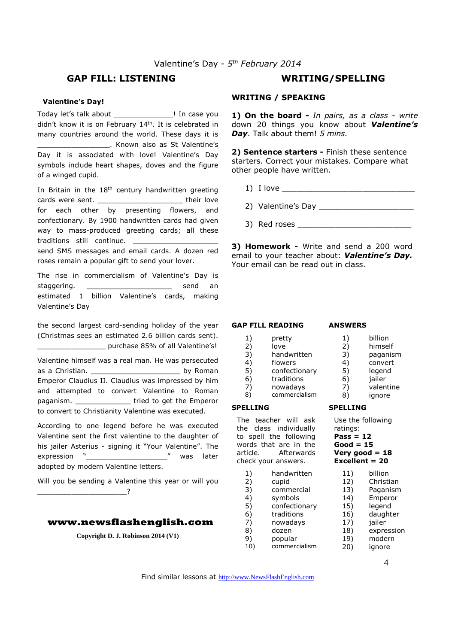# **GAP FILL: LISTENING WRITING/SPELLING**

#### **Valentine's Day!**

Today let's talk about \_\_\_\_\_\_\_\_\_\_\_\_\_\_! In case you didn't know it is on February 14<sup>th</sup>. It is celebrated in many countries around the world. These days it is \_\_\_\_\_\_\_\_\_\_\_\_\_\_\_\_\_. Known also as St Valentine's Day it is associated with love! Valentine's Day symbols include heart shapes, doves and the figure of a winged cupid.

In Britain in the  $18<sup>th</sup>$  century handwritten greeting cards were sent. The state of their love for each other by presenting flowers, and confectionary. By 1900 handwritten cards had given way to mass-produced greeting cards; all these traditions still continue. send SMS messages and email cards. A dozen red roses remain a popular gift to send your lover.

The rise in commercialism of Valentine's Day is staggering. The staggering staggering and send and send and send and send and send and send and send and send an estimated 1 billion Valentine's cards, making Valentine's Day

the second largest card-sending holiday of the year (Christmas sees an estimated 2.6 billion cards sent). \_\_\_\_\_\_\_\_\_\_\_\_\_\_\_\_ purchase 85% of all Valentine's!

Valentine himself was a real man. He was persecuted as a Christian. The contract of the by Roman Emperor Claudius II. Claudius was impressed by him and attempted to convert Valentine to Roman paganism. \_\_\_\_\_\_\_\_\_\_\_\_\_\_\_\_\_\_ tried to get the Emperor to convert to Christianity Valentine was executed.

According to one legend before he was executed Valentine sent the first valentine to the daughter of his jailer Asterius - signing it "Your Valentine". The expression "\_\_\_\_\_\_\_\_\_\_\_\_\_\_\_\_\_\_\_" was later adopted by modern Valentine letters.

Will you be sending a Valentine this year or will you \_\_\_\_\_\_\_\_\_\_\_\_\_\_\_\_\_\_\_\_\_?

# **www.newsflashenglish.com**

**Copyright D. J. Robinson 2014 (V1)** 

#### **WRITING / SPEAKING**

**1) On the board -** *In pairs, as a class - write* down 20 things you know about *Valentine's Day*. Talk about them! *5 mins.* 

**2) Sentence starters -** Finish these sentence starters. Correct your mistakes. Compare what other people have written.

- 1) I love \_\_\_\_\_\_\_\_\_\_\_\_\_\_\_\_\_\_\_\_\_\_\_\_\_\_\_\_
- 2) Valentine's Day
- 3) Red roses \_\_\_\_\_\_\_\_\_\_\_\_\_\_\_\_\_\_\_\_\_\_\_\_

**3) Homework -** Write and send a 200 word email to your teacher about: *Valentine's Day.* Your email can be read out in class.

#### **GAP FILL READING**

1) pretty<br>2) love 2) love 3) handwritten 4) flowers 5) confectionary 6) traditions<br>7) nowadays 7) nowadays 8) commercialism

**SPELLING** 

#### **ANSWERS**

- 1) billion<br>2) himsel 2) himself 3) paganism 4) convert 5) legend 6) jailer 7) valentine
- 8) ignore

#### **SPELLING**

Use the following ratings:

- **Pass = 12 Good = 15 Very good = 18 Excellent = 20**
- 11) billion<br>12) Christi
- 1) handwritten<br>2) cupid 2) cupid

The teacher will ask the class individually to spell the following words that are in the article. Afterwards check your answers.

- 3) commercial
- 4) symbols
- 5) confectionary
- 
- 6) traditions<br>7) nowadays 7) nowadays
- 8) dozen
- 9) popular 19) modern
- 10) commercialism 20) ignore

4

Christian 13) Paganism 14) Emperor 15) legend 16) daughter<br>17) iailer jailer 18) expression

Find similar lessons at http://www.NewsFlashEnglish.com